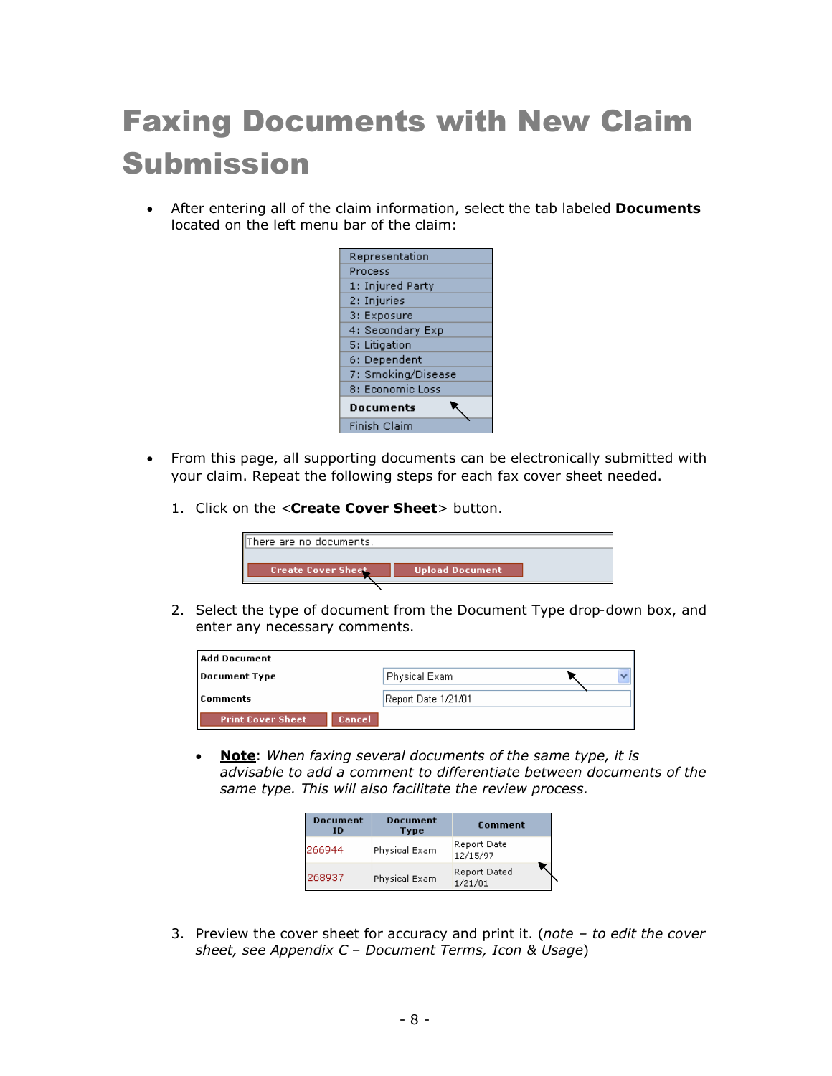## Faxing Documents with New Claim Submission

- After entering all of the claim information, select the tab labeled **Documents** located on the left menu bar of the claim:
	- Representation Process 1: Injured Party 2: Injuries 3: Exposure 4: Secondary Exp 5: Litigation 6: Dependent 7: Smoking/Disease 8: Economic Loss ▼ **Documents** Finish Claim
- From this page, all supporting documents can be electronically submitted with your claim. Repeat the following steps for each fax cover sheet needed.
	- 1. Click on the <**Create Cover Sheet**> button.

| <b>Upload Document</b><br><b>Create Cover Sheet</b> |  |
|-----------------------------------------------------|--|

2. Select the type of document from the Document Type drop-down box, and enter any necessary comments.

| Add Document                              |                     |  |
|-------------------------------------------|---------------------|--|
| <b>Document Type</b>                      | Physical Exam       |  |
| Comments                                  | Report Date 1/21/01 |  |
| <b>Cancel</b><br><b>Print Cover Sheet</b> |                     |  |

 **Note**: *When faxing several documents of the same type, it is advisable to add a comment to differentiate between documents of the same type. This will also facilitate the review process.*

| <b>Document</b><br>ID | <b>Document</b><br>Type | <b>Comment</b>          |  |  |
|-----------------------|-------------------------|-------------------------|--|--|
| 266944                | Physical Exam           | Report Date<br>12/15/97 |  |  |
| 268937                | Physical Exam           | Report Dated<br>1/21/01 |  |  |

3. Preview the cover sheet for accuracy and print it. (*note – to edit the cover sheet, see Appendix C – Document Terms, Icon & Usage*)